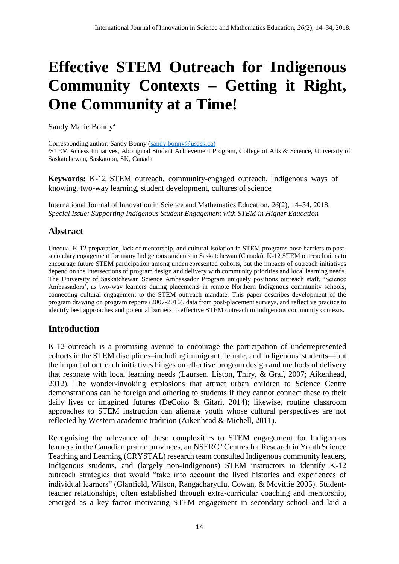# **Effective STEM Outreach for Indigenous Community Contexts – Getting it Right, One Community at a Time!**

Sandy Marie Bonny<sup>a</sup>

Corresponding author: Sandy Bonny [\(sandy.bonny@usask.ca\)](mailto:sandy.bonny@usask.ca) <sup>a</sup>STEM Access Initiatives, Aboriginal Student Achievement Program, College of Arts & Science, University of Saskatchewan, Saskatoon, SK, Canada

**Keywords:** K-12 STEM outreach, community-engaged outreach, Indigenous ways of knowing, two-way learning, student development, cultures of science

International Journal of Innovation in Science and Mathematics Education, *26*(2), 14–34, 2018. *Special Issue: Supporting Indigenous Student Engagement with STEM in Higher Education*

# **Abstract**

Unequal K-12 preparation, lack of mentorship, and cultural isolation in STEM programs pose barriers to postsecondary engagement for many Indigenous students in Saskatchewan (Canada). K-12 STEM outreach aims to encourage future STEM participation among underrepresented cohorts, but the impacts of outreach initiatives depend on the intersections of program design and delivery with community priorities and local learning needs. The University of Saskatchewan Science Ambassador Program uniquely positions outreach staff, 'Science Ambassadors', as two-way learners during placements in remote Northern Indigenous community schools, connecting cultural engagement to the STEM outreach mandate. This paper describes development of the program drawing on program reports (2007-2016), data from post-placement surveys, and reflective practice to identify best approaches and potential barriers to effective STEM outreach in Indigenous community contexts.

# **Introduction**

K-12 outreach is a promising avenue to encourage the participation of underrepresented cohorts in the STEM disciplines-including immigrant, female, and Indigenous<sup>i</sup> students—but the impact of outreach initiatives hinges on effective program design and methods of delivery that resonate with local learning needs (Laursen, Liston, Thiry, & Graf, 2007; Aikenhead, 2012). The wonder-invoking explosions that attract urban children to Science Centre demonstrations can be foreign and othering to students if they cannot connect these to their daily lives or imagined futures (DeCoito & Gitari, 2014); likewise, routine classroom approaches to STEM instruction can alienate youth whose cultural perspectives are not reflected by Western academic tradition (Aikenhead & Michell, 2011).

Recognising the relevance of these complexities to STEM engagement for Indigenous learners in the Canadian prairie provinces, an NSERC<sup>ii</sup> Centres for Research in Youth Science Teaching and Learning (CRYSTAL) research team consulted Indigenous community leaders, Indigenous students, and (largely non-Indigenous) STEM instructors to identify K-12 outreach strategies that would "take into account the lived histories and experiences of individual learners" (Glanfield, Wilson, Rangacharyulu, Cowan, & Mcvittie 2005). Studentteacher relationships, often established through extra-curricular coaching and mentorship, emerged as a key factor motivating STEM engagement in secondary school and laid a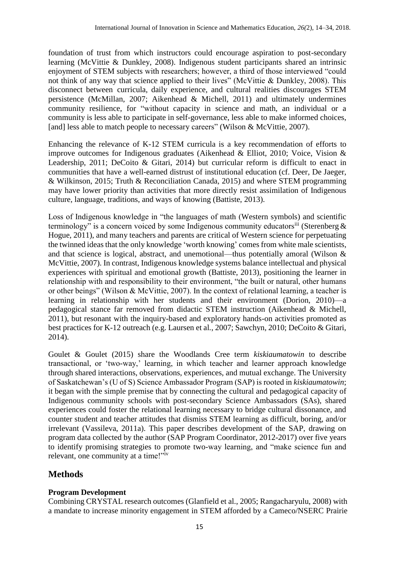foundation of trust from which instructors could encourage aspiration to post-secondary learning (McVittie & Dunkley, 2008). Indigenous student participants shared an intrinsic enjoyment of STEM subjects with researchers; however, a third of those interviewed "could not think of any way that science applied to their lives" (McVittie & Dunkley, 2008). This disconnect between curricula, daily experience, and cultural realities discourages STEM persistence (McMillan, 2007; Aikenhead & Michell, 2011) and ultimately undermines community resilience, for "without capacity in science and math, an individual or a community is less able to participate in self-governance, less able to make informed choices, [and] less able to match people to necessary careers" (Wilson & McVittie, 2007).

Enhancing the relevance of K-12 STEM curricula is a key recommendation of efforts to improve outcomes for Indigenous graduates (Aikenhead & Elliot, 2010; Voice, Vision & Leadership, 2011; DeCoito & Gitari, 2014) but curricular reform is difficult to enact in communities that have a well-earned distrust of institutional education (cf. Deer, De Jaeger, & Wilkinson, 2015; Truth & Reconciliation Canada, 2015) and where STEM programming may have lower priority than activities that more directly resist assimilation of Indigenous culture, language, traditions, and ways of knowing (Battiste, 2013).

Loss of Indigenous knowledge in "the languages of math (Western symbols) and scientific terminology" is a concern voiced by some Indigenous community educators<sup>iii</sup> (Sterenberg  $\&$ Hogue, 2011), and many teachers and parents are critical of Western science for perpetuating the twinned ideas that the only knowledge 'worth knowing' comes from white male scientists, and that science is logical, abstract, and unemotional—thus potentially amoral (Wilson & McVittie, 2007). In contrast, Indigenous knowledge systems balance intellectual and physical experiences with spiritual and emotional growth (Battiste, 2013), positioning the learner in relationship with and responsibility to their environment, "the built or natural, other humans or other beings" (Wilson & McVittie, 2007). In the context of relational learning, a teacher is learning in relationship with her students and their environment (Dorion, 2010)—a pedagogical stance far removed from didactic STEM instruction (Aikenhead & Michell, 2011), but resonant with the inquiry-based and exploratory hands-on activities promoted as best practices for K-12 outreach (e.g. Laursen et al*.*, 2007; Sawchyn, 2010; DeCoito & Gitari, 2014).

Goulet & Goulet (2015) share the Woodlands Cree term *kiskiaumatowin* to describe transactional, or 'two-way,' learning, in which teacher and learner approach knowledge through shared interactions, observations, experiences, and mutual exchange. The University of Saskatchewan's (U of S) Science Ambassador Program (SAP) is rooted in *kiskiaumatowin*; it began with the simple premise that by connecting the cultural and pedagogical capacity of Indigenous community schools with post-secondary Science Ambassadors (SAs), shared experiences could foster the relational learning necessary to bridge cultural dissonance, and counter student and teacher attitudes that dismiss STEM learning as difficult, boring, and/or irrelevant (Vassileva, 2011a). This paper describes development of the SAP, drawing on program data collected by the author (SAP Program Coordinator, 2012-2017) over five years to identify promising strategies to promote two-way learning, and "make science fun and relevant, one community at a time!"<sup>iv</sup>

# **Methods**

## **Program Development**

Combining CRYSTAL research outcomes (Glanfield et al., 2005; Rangacharyulu, 2008) with a mandate to increase minority engagement in STEM afforded by a Cameco/NSERC Prairie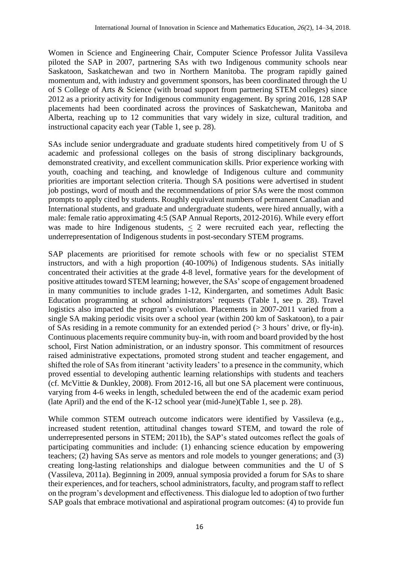Women in Science and Engineering Chair, Computer Science Professor Julita Vassileva piloted the SAP in 2007, partnering SAs with two Indigenous community schools near Saskatoon, Saskatchewan and two in Northern Manitoba. The program rapidly gained momentum and, with industry and government sponsors, has been coordinated through the U of S College of Arts & Science (with broad support from partnering STEM colleges) since 2012 as a priority activity for Indigenous community engagement. By spring 2016, 128 SAP placements had been coordinated across the provinces of Saskatchewan, Manitoba and Alberta, reaching up to 12 communities that vary widely in size, cultural tradition, and instructional capacity each year (Table 1, see p. 28).

SAs include senior undergraduate and graduate students hired competitively from U of S academic and professional colleges on the basis of strong disciplinary backgrounds, demonstrated creativity, and excellent communication skills. Prior experience working with youth, coaching and teaching, and knowledge of Indigenous culture and community priorities are important selection criteria. Though SA positions were advertised in student job postings, word of mouth and the recommendations of prior SAs were the most common prompts to apply cited by students. Roughly equivalent numbers of permanent Canadian and International students, and graduate and undergraduate students, were hired annually, with a male: female ratio approximating 4:5 (SAP Annual Reports, 2012-2016). While every effort was made to hire Indigenous students,  $\leq$  2 were recruited each year, reflecting the underrepresentation of Indigenous students in post-secondary STEM programs.

SAP placements are prioritised for remote schools with few or no specialist STEM instructors, and with a high proportion (40-100%) of Indigenous students. SAs initially concentrated their activities at the grade 4-8 level, formative years for the development of positive attitudes toward STEM learning; however, the SAs' scope of engagement broadened in many communities to include grades 1-12, Kindergarten, and sometimes Adult Basic Education programming at school administrators' requests (Table 1, see p. 28). Travel logistics also impacted the program's evolution. Placements in 2007-2011 varied from a single SA making periodic visits over a school year (within 200 km of Saskatoon), to a pair of SAs residing in a remote community for an extended period (> 3 hours' drive, or fly-in). Continuous placements require community buy-in, with room and board provided by the host school, First Nation administration, or an industry sponsor. This commitment of resources raised administrative expectations, promoted strong student and teacher engagement, and shifted the role of SAs from itinerant 'activity leaders' to a presence in the community, which proved essential to developing authentic learning relationships with students and teachers (cf. McVittie & Dunkley, 2008). From 2012-16, all but one SA placement were continuous, varying from 4-6 weeks in length, scheduled between the end of the academic exam period (late April) and the end of the K-12 school year (mid-June)(Table 1, see p. 28).

While common STEM outreach outcome indicators were identified by Vassileva (e.g., increased student retention, attitudinal changes toward STEM, and toward the role of underrepresented persons in STEM; 2011b), the SAP's stated outcomes reflect the goals of participating communities and include: (1) enhancing science education by empowering teachers; (2) having SAs serve as mentors and role models to younger generations; and (3) creating long-lasting relationships and dialogue between communities and the U of S (Vassileva, 2011a). Beginning in 2009, annual symposia provided a forum for SAs to share their experiences, and for teachers, school administrators, faculty, and program staff to reflect on the program's development and effectiveness. This dialogue led to adoption of two further SAP goals that embrace motivational and aspirational program outcomes: (4) to provide fun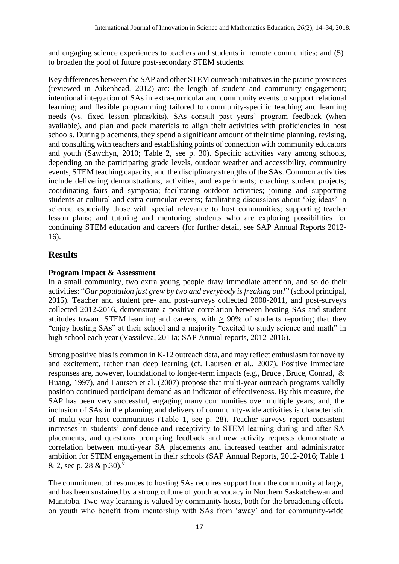and engaging science experiences to teachers and students in remote communities; and (5) to broaden the pool of future post-secondary STEM students.

Key differences between the SAP and other STEM outreach initiatives in the prairie provinces (reviewed in Aikenhead, 2012) are: the length of student and community engagement; intentional integration of SAs in extra-curricular and community events to support relational learning; and flexible programming tailored to community-specific teaching and learning needs (vs. fixed lesson plans/kits). SAs consult past years' program feedback (when available), and plan and pack materials to align their activities with proficiencies in host schools. During placements, they spend a significant amount of their time planning, revising, and consulting with teachers and establishing points of connection with community educators and youth (Sawchyn, 2010; Table 2, see p. 30). Specific activities vary among schools, depending on the participating grade levels, outdoor weather and accessibility, community events, STEM teaching capacity, and the disciplinary strengths of the SAs. Common activities include delivering demonstrations, activities, and experiments; coaching student projects; coordinating fairs and symposia; facilitating outdoor activities; joining and supporting students at cultural and extra-curricular events; facilitating discussions about 'big ideas' in science, especially those with special relevance to host communities; supporting teacher lesson plans; and tutoring and mentoring students who are exploring possibilities for continuing STEM education and careers (for further detail, see SAP Annual Reports 2012- 16).

# **Results**

# **Program Impact & Assessment**

In a small community, two extra young people draw immediate attention, and so do their activities: "*Our population just grew by two and everybody is freaking out!*" (school principal, 2015). Teacher and student pre- and post-surveys collected 2008-2011, and post-surveys collected 2012-2016, demonstrate a positive correlation between hosting SAs and student attitudes toward STEM learning and careers, with > 90% of students reporting that they "enjoy hosting SAs" at their school and a majority "excited to study science and math" in high school each year (Vassileva, 2011a; SAP Annual reports, 2012-2016).

Strong positive bias is common in K-12 outreach data, and may reflect enthusiasm for novelty and excitement, rather than deep learning (cf. Laursen et al., 2007). Positive immediate responses are, however, foundational to longer-term impacts (e.g., Bruce , Bruce, Conrad, & Huang, 1997), and Laursen et al. (2007) propose that multi-year outreach programs validly position continued participant demand as an indicator of effectiveness. By this measure, the SAP has been very successful, engaging many communities over multiple years; and, the inclusion of SAs in the planning and delivery of community-wide activities is characteristic of multi-year host communities (Table 1, see p. 28). Teacher surveys report consistent increases in students' confidence and receptivity to STEM learning during and after SA placements, and questions prompting feedback and new activity requests demonstrate a correlation between multi-year SA placements and increased teacher and administrator ambition for STEM engagement in their schools (SAP Annual Reports, 2012-2016; Table 1 & 2, see p. 28 & p.30).<sup>v</sup>

The commitment of resources to hosting SAs requires support from the community at large, and has been sustained by a strong culture of youth advocacy in Northern Saskatchewan and Manitoba. Two-way learning is valued by community hosts, both for the broadening effects on youth who benefit from mentorship with SAs from 'away' and for community-wide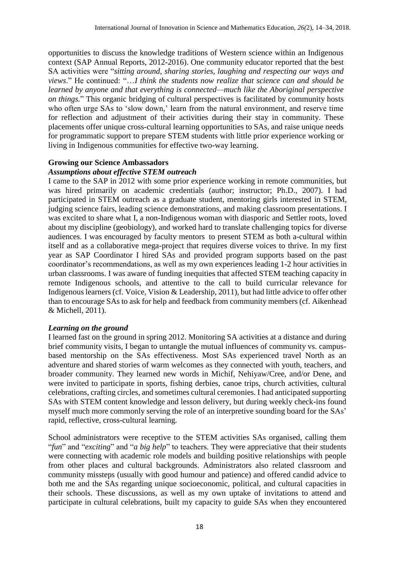opportunities to discuss the knowledge traditions of Western science within an Indigenous context (SAP Annual Reports, 2012-2016). One community educator reported that the best SA activities were "*sitting around, sharing stories, laughing and respecting our ways and views*." He continued: "…*I think the students now realize that science can and should be learned by anyone and that everything is connected—much like the Aboriginal perspective on things.*" This organic bridging of cultural perspectives is facilitated by community hosts who often urge SAs to 'slow down,' learn from the natural environment, and reserve time for reflection and adjustment of their activities during their stay in community. These placements offer unique cross-cultural learning opportunities to SAs, and raise unique needs for programmatic support to prepare STEM students with little prior experience working or living in Indigenous communities for effective two-way learning.

#### **Growing our Science Ambassadors** *Assumptions about effective STEM outreach*

I came to the SAP in 2012 with some prior experience working in remote communities, but was hired primarily on academic credentials (author; instructor; Ph.D., 2007). I had participated in STEM outreach as a graduate student, mentoring girls interested in STEM, judging science fairs, leading science demonstrations, and making classroom presentations. I was excited to share what I, a non-Indigenous woman with diasporic and Settler roots, loved about my discipline (geobiology), and worked hard to translate challenging topics for diverse audiences. I was encouraged by faculty mentors to present STEM as both a-cultural within itself and as a collaborative mega-project that requires diverse voices to thrive. In my first year as SAP Coordinator I hired SAs and provided program supports based on the past coordinator's recommendations, as well as my own experiences leading 1-2 hour activities in urban classrooms. I was aware of funding inequities that affected STEM teaching capacity in remote Indigenous schools, and attentive to the call to build curricular relevance for Indigenous learners (cf. Voice, Vision & Leadership, 2011), but had little advice to offer other than to encourage SAs to ask for help and feedback from community members (cf. Aikenhead & Michell, 2011).

## *Learning on the ground*

I learned fast on the ground in spring 2012. Monitoring SA activities at a distance and during brief community visits, I began to untangle the mutual influences of community vs. campusbased mentorship on the SAs effectiveness. Most SAs experienced travel North as an adventure and shared stories of warm welcomes as they connected with youth, teachers, and broader community. They learned new words in Michif, Nehiyaw/Cree, and/or Dene, and were invited to participate in sports, fishing derbies, canoe trips, church activities, cultural celebrations, crafting circles, and sometimes cultural ceremonies. I had anticipated supporting SAs with STEM content knowledge and lesson delivery, but during weekly check-ins found myself much more commonly serving the role of an interpretive sounding board for the SAs' rapid, reflective, cross-cultural learning.

School administrators were receptive to the STEM activities SAs organised, calling them "*fun*" and "*exciting*" and "*a big help*" to teachers. They were appreciative that their students were connecting with academic role models and building positive relationships with people from other places and cultural backgrounds. Administrators also related classroom and community missteps (usually with good humour and patience) and offered candid advice to both me and the SAs regarding unique socioeconomic, political, and cultural capacities in their schools. These discussions, as well as my own uptake of invitations to attend and participate in cultural celebrations, built my capacity to guide SAs when they encountered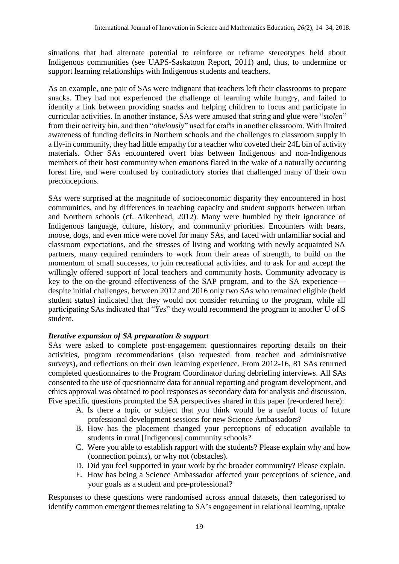situations that had alternate potential to reinforce or reframe stereotypes held about Indigenous communities (see UAPS-Saskatoon Report, 2011) and, thus, to undermine or support learning relationships with Indigenous students and teachers.

As an example, one pair of SAs were indignant that teachers left their classrooms to prepare snacks. They had not experienced the challenge of learning while hungry, and failed to identify a link between providing snacks and helping children to focus and participate in curricular activities. In another instance, SAs were amused that string and glue were "*stolen*" from their activity bin, and then "*obviously*" used for crafts in another classroom. With limited awareness of funding deficits in Northern schools and the challenges to classroom supply in a fly-in community, they had little empathy for a teacher who coveted their 24L bin of activity materials. Other SAs encountered overt bias between Indigenous and non-Indigenous members of their host community when emotions flared in the wake of a naturally occurring forest fire, and were confused by contradictory stories that challenged many of their own preconceptions.

SAs were surprised at the magnitude of socioeconomic disparity they encountered in host communities, and by differences in teaching capacity and student supports between urban and Northern schools (cf. Aikenhead, 2012). Many were humbled by their ignorance of Indigenous language, culture, history, and community priorities. Encounters with bears, moose, dogs, and even mice were novel for many SAs, and faced with unfamiliar social and classroom expectations, and the stresses of living and working with newly acquainted SA partners, many required reminders to work from their areas of strength, to build on the momentum of small successes, to join recreational activities, and to ask for and accept the willingly offered support of local teachers and community hosts. Community advocacy is key to the on-the-ground effectiveness of the SAP program, and to the SA experience despite initial challenges, between 2012 and 2016 only two SAs who remained eligible (held student status) indicated that they would not consider returning to the program, while all participating SAs indicated that "*Yes*" they would recommend the program to another U of S student.

## *Iterative expansion of SA preparation & support*

SAs were asked to complete post-engagement questionnaires reporting details on their activities, program recommendations (also requested from teacher and administrative surveys), and reflections on their own learning experience. From 2012-16, 81 SAs returned completed questionnaires to the Program Coordinator during debriefing interviews. All SAs consented to the use of questionnaire data for annual reporting and program development, and ethics approval was obtained to pool responses as secondary data for analysis and discussion. Five specific questions prompted the SA perspectives shared in this paper (re-ordered here):

- A. Is there a topic or subject that you think would be a useful focus of future professional development sessions for new Science Ambassadors?
- B. How has the placement changed your perceptions of education available to students in rural [Indigenous] community schools?
- C. Were you able to establish rapport with the students? Please explain why and how (connection points), or why not (obstacles).
- D. Did you feel supported in your work by the broader community? Please explain.
- E. How has being a Science Ambassador affected your perceptions of science, and your goals as a student and pre-professional?

Responses to these questions were randomised across annual datasets, then categorised to identify common emergent themes relating to SA's engagement in relational learning, uptake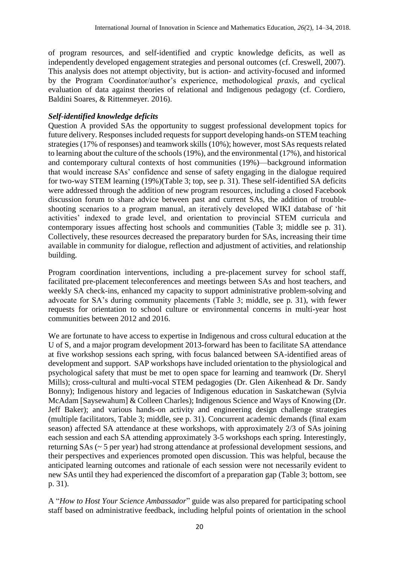of program resources, and self-identified and cryptic knowledge deficits, as well as independently developed engagement strategies and personal outcomes (cf. Creswell, 2007). This analysis does not attempt objectivity, but is action- and activity-focused and informed by the Program Coordinator/author's experience, methodological *praxis*, and cyclical evaluation of data against theories of relational and Indigenous pedagogy (cf. Cordiero, Baldini Soares, & Rittenmeyer*.* 2016).

## *Self-identified knowledge deficits*

Question A provided SAs the opportunity to suggest professional development topics for future delivery. Responses included requests for support developing hands-on STEM teaching strategies (17% of responses) and teamwork skills (10%); however, most SAs requests related to learning about the culture of the schools (19%), and the environmental (17%), and historical and contemporary cultural contexts of host communities (19%)—background information that would increase SAs' confidence and sense of safety engaging in the dialogue required for two-way STEM learning (19%)(Table 3; top, see p. 31). These self-identified SA deficits were addressed through the addition of new program resources, including a closed Facebook discussion forum to share advice between past and current SAs, the addition of troubleshooting scenarios to a program manual, an iteratively developed WIKI database of 'hit activities' indexed to grade level, and orientation to provincial STEM curricula and contemporary issues affecting host schools and communities (Table 3; middle see p. 31). Collectively, these resources decreased the preparatory burden for SAs, increasing their time available in community for dialogue, reflection and adjustment of activities, and relationship building.

Program coordination interventions, including a pre-placement survey for school staff, facilitated pre-placement teleconferences and meetings between SAs and host teachers, and weekly SA check-ins, enhanced my capacity to support administrative problem-solving and advocate for SA's during community placements (Table 3; middle, see p. 31), with fewer requests for orientation to school culture or environmental concerns in multi-year host communities between 2012 and 2016.

We are fortunate to have access to expertise in Indigenous and cross cultural education at the U of S, and a major program development 2013-forward has been to facilitate SA attendance at five workshop sessions each spring, with focus balanced between SA-identified areas of development and support. SAP workshops have included orientation to the physiological and psychological safety that must be met to open space for learning and teamwork (Dr. Sheryl Mills); cross-cultural and multi-vocal STEM pedagogies (Dr. Glen Aikenhead & Dr. Sandy Bonny); Indigenous history and legacies of Indigenous education in Saskatchewan (Sylvia McAdam [Saysewahum] & Colleen Charles); Indigenous Science and Ways of Knowing (Dr. Jeff Baker); and various hands-on activity and engineering design challenge strategies (multiple facilitators, Table 3; middle, see p. 31). Concurrent academic demands (final exam season) affected SA attendance at these workshops, with approximately 2/3 of SAs joining each session and each SA attending approximately 3-5 workshops each spring. Interestingly, returning SAs (~ 5 per year) had strong attendance at professional development sessions, and their perspectives and experiences promoted open discussion. This was helpful, because the anticipated learning outcomes and rationale of each session were not necessarily evident to new SAs until they had experienced the discomfort of a preparation gap (Table 3; bottom, see p. 31).

A "*How to Host Your Science Ambassador*" guide was also prepared for participating school staff based on administrative feedback, including helpful points of orientation in the school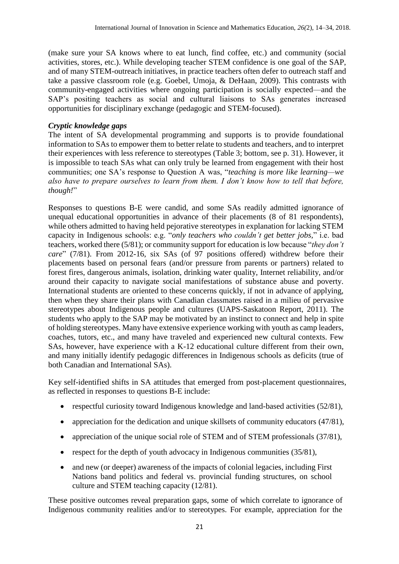(make sure your SA knows where to eat lunch, find coffee, etc.) and community (social activities, stores, etc.). While developing teacher STEM confidence is one goal of the SAP, and of many STEM-outreach initiatives, in practice teachers often defer to outreach staff and take a passive classroom role (e.g. Goebel, Umoja, & DeHaan, 2009). This contrasts with community-engaged activities where ongoing participation is socially expected—and the SAP's positing teachers as social and cultural liaisons to SAs generates increased opportunities for disciplinary exchange (pedagogic and STEM-focused).

#### *Cryptic knowledge gaps*

The intent of SA developmental programming and supports is to provide foundational information to SAs to empower them to better relate to students and teachers, and to interpret their experiences with less reference to stereotypes (Table 3; bottom, see p. 31). However, it is impossible to teach SAs what can only truly be learned from engagement with their host communities; one SA's response to Question A was, "*teaching is more like learning—we also have to prepare ourselves to learn from them. I don't know how to tell that before, though!*"

Responses to questions B-E were candid, and some SAs readily admitted ignorance of unequal educational opportunities in advance of their placements (8 of 81 respondents), while others admitted to having held pejorative stereotypes in explanation for lacking STEM capacity in Indigenous schools: e.g. "*only teachers who couldn't get better jobs,*" i.e. bad teachers, worked there (5/81); or community support for education is low because "*they don't care*" (7/81). From 2012-16, six SAs (of 97 positions offered) withdrew before their placements based on personal fears (and/or pressure from parents or partners) related to forest fires, dangerous animals, isolation, drinking water quality, Internet reliability, and/or around their capacity to navigate social manifestations of substance abuse and poverty. International students are oriented to these concerns quickly, if not in advance of applying, then when they share their plans with Canadian classmates raised in a milieu of pervasive stereotypes about Indigenous people and cultures (UAPS-Saskatoon Report, 2011). The students who apply to the SAP may be motivated by an instinct to connect and help in spite of holding stereotypes. Many have extensive experience working with youth as camp leaders, coaches, tutors, etc., and many have traveled and experienced new cultural contexts. Few SAs, however, have experience with a K-12 educational culture different from their own, and many initially identify pedagogic differences in Indigenous schools as deficits (true of both Canadian and International SAs).

Key self-identified shifts in SA attitudes that emerged from post-placement questionnaires, as reflected in responses to questions B-E include:

- respectful curiosity toward Indigenous knowledge and land-based activities (52/81),
- appreciation for the dedication and unique skillsets of community educators (47/81),
- appreciation of the unique social role of STEM and of STEM professionals (37/81),
- respect for the depth of youth advocacy in Indigenous communities  $(35/81)$ ,
- and new (or deeper) awareness of the impacts of colonial legacies, including First Nations band politics and federal vs. provincial funding structures, on school culture and STEM teaching capacity (12/81).

These positive outcomes reveal preparation gaps, some of which correlate to ignorance of Indigenous community realities and/or to stereotypes. For example, appreciation for the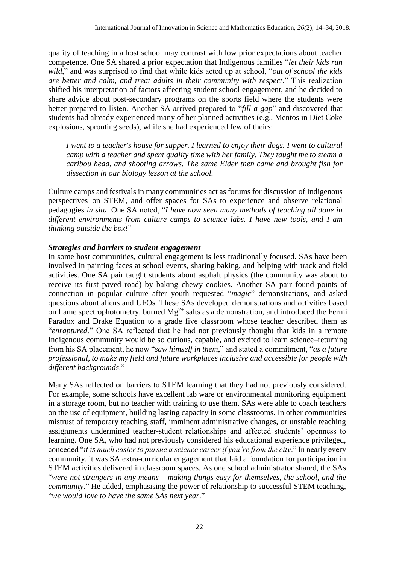quality of teaching in a host school may contrast with low prior expectations about teacher competence. One SA shared a prior expectation that Indigenous families "*let their kids run wild*," and was surprised to find that while kids acted up at school, "*out of school the kids are better and calm, and treat adults in their community with respect*." This realization shifted his interpretation of factors affecting student school engagement, and he decided to share advice about post-secondary programs on the sports field where the students were better prepared to listen. Another SA arrived prepared to "*fill a gap*" and discovered that students had already experienced many of her planned activities (e.g., Mentos in Diet Coke explosions, sprouting seeds), while she had experienced few of theirs:

*I went to a teacher's house for supper. I learned to enjoy their dogs. I went to cultural camp with a teacher and spent quality time with her family. They taught me to steam a caribou head, and shooting arrows. The same Elder then came and brought fish for dissection in our biology lesson at the school.* 

Culture camps and festivals in many communities act as forums for discussion of Indigenous perspectives on STEM, and offer spaces for SAs to experience and observe relational pedagogies *in situ*. One SA noted, "*I have now seen many methods of teaching all done in different environments from culture camps to science labs. I have new tools, and I am thinking outside the box!*"

#### *Strategies and barriers to student engagement*

In some host communities, cultural engagement is less traditionally focused. SAs have been involved in painting faces at school events, sharing baking, and helping with track and field activities. One SA pair taught students about asphalt physics (the community was about to receive its first paved road) by baking chewy cookies. Another SA pair found points of connection in popular culture after youth requested "*magic*" demonstrations, and asked questions about aliens and UFOs. These SAs developed demonstrations and activities based on flame spectrophotometry, burned  $Mg^{2+}$  salts as a demonstration, and introduced the Fermi Paradox and Drake Equation to a grade five classroom whose teacher described them as "*enraptured.*" One SA reflected that he had not previously thought that kids in a remote Indigenous community would be so curious, capable, and excited to learn science–returning from his SA placement, he now "*saw himself in them*," and stated a commitment, "*as a future professional, to make my field and future workplaces inclusive and accessible for people with different backgrounds*."

Many SAs reflected on barriers to STEM learning that they had not previously considered. For example, some schools have excellent lab ware or environmental monitoring equipment in a storage room, but no teacher with training to use them. SAs were able to coach teachers on the use of equipment, building lasting capacity in some classrooms. In other communities mistrust of temporary teaching staff, imminent administrative changes, or unstable teaching assignments undermined teacher-student relationships and affected students' openness to learning. One SA, who had not previously considered his educational experience privileged, conceded "*it is much easier to pursue a science career if you're from the city*." In nearly every community, it was SA extra-curricular engagement that laid a foundation for participation in STEM activities delivered in classroom spaces. As one school administrator shared, the SAs "*were not strangers in any means – making things easy for themselves, the school, and the community*." He added, emphasising the power of relationship to successful STEM teaching, "*we would love to have the same SAs next year*."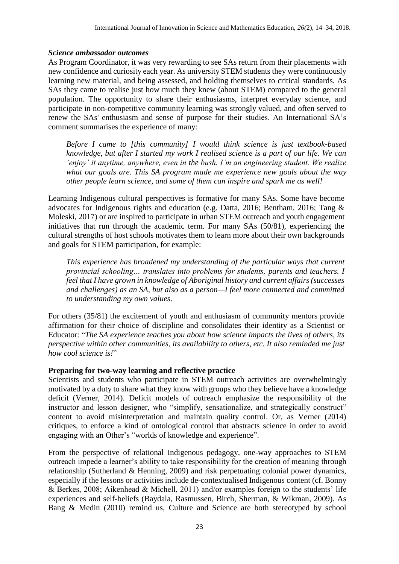#### *Science ambassador outcomes*

As Program Coordinator, it was very rewarding to see SAs return from their placements with new confidence and curiosity each year. As university STEM students they were continuously learning new material, and being assessed, and holding themselves to critical standards. As SAs they came to realise just how much they knew (about STEM) compared to the general population. The opportunity to share their enthusiasms, interpret everyday science, and participate in non-competitive community learning was strongly valued, and often served to renew the SAs' enthusiasm and sense of purpose for their studies. An International SA's comment summarises the experience of many:

*Before I came to [this community] I would think science is just textbook-based knowledge, but after I started my work I realised science is a part of our life. We can 'enjoy' it anytime, anywhere, even in the bush. I'm an engineering student. We realize what our goals are. This SA program made me experience new goals about the way other people learn science, and some of them can inspire and spark me as well!*

Learning Indigenous cultural perspectives is formative for many SAs. Some have become advocates for Indigenous rights and education (e.g. Datta, 2016; Bentham, 2016; Tang & Moleski, 2017) or are inspired to participate in urban STEM outreach and youth engagement initiatives that run through the academic term. For many SAs (50/81), experiencing the cultural strengths of host schools motivates them to learn more about their own backgrounds and goals for STEM participation, for example:

*This experience has broadened my understanding of the particular ways that current provincial schooling… translates into problems for students, parents and teachers. I feel that I have grown in knowledge of Aboriginal history and current affairs (successes and challenges) as an SA, but also as a person—I feel more connected and committed to understanding my own values*.

For others (35/81) the excitement of youth and enthusiasm of community mentors provide affirmation for their choice of discipline and consolidates their identity as a Scientist or Educator: "*The SA experience teaches you about how science impacts the lives of others, its perspective within other communities, its availability to others, etc. It also reminded me just how cool science is!*"

## **Preparing for two-way learning and reflective practice**

Scientists and students who participate in STEM outreach activities are overwhelmingly motivated by a duty to share what they know with groups who they believe have a knowledge deficit (Verner, 2014). Deficit models of outreach emphasize the responsibility of the instructor and lesson designer, who "simplify, sensationalize, and strategically construct" content to avoid misinterpretation and maintain quality control. Or, as Verner (2014) critiques, to enforce a kind of ontological control that abstracts science in order to avoid engaging with an Other's "worlds of knowledge and experience".

From the perspective of relational Indigenous pedagogy, one-way approaches to STEM outreach impede a learner's ability to take responsibility for the creation of meaning through relationship (Sutherland & Henning, 2009) and risk perpetuating colonial power dynamics, especially if the lessons or activities include de-contextualised Indigenous content (cf. Bonny & Berkes, 2008; Aikenhead & Michell, 2011) and/or examples foreign to the students' life experiences and self-beliefs (Baydala, Rasmussen, Birch, Sherman, & Wikman, 2009). As Bang & Medin (2010) remind us, Culture and Science are both stereotyped by school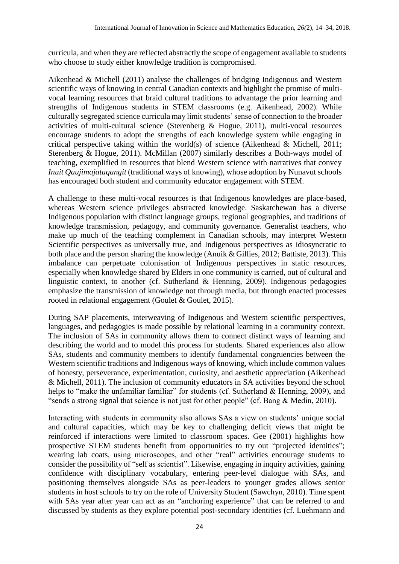curricula, and when they are reflected abstractly the scope of engagement available to students who choose to study either knowledge tradition is compromised.

Aikenhead & Michell (2011) analyse the challenges of bridging Indigenous and Western scientific ways of knowing in central Canadian contexts and highlight the promise of multivocal learning resources that braid cultural traditions to advantage the prior learning and strengths of Indigenous students in STEM classrooms (e.g. Aikenhead, 2002). While culturally segregated science curricula may limit students' sense of connection to the broader activities of multi-cultural science (Sterenberg & Hogue, 2011), multi-vocal resources encourage students to adopt the strengths of each knowledge system while engaging in critical perspective taking within the world(s) of science (Aikenhead & Michell, 2011; Sterenberg & Hogue, 2011). McMillan (2007) similarly describes a Both-ways model of teaching, exemplified in resources that blend Western science with narratives that convey *Inuit Qaujimajatuqangit* (traditional ways of knowing), whose adoption by Nunavut schools has encouraged both student and community educator engagement with STEM.

A challenge to these multi-vocal resources is that Indigenous knowledges are place-based, whereas Western science privileges abstracted knowledge. Saskatchewan has a diverse Indigenous population with distinct language groups, regional geographies, and traditions of knowledge transmission, pedagogy, and community governance. Generalist teachers, who make up much of the teaching complement in Canadian schools, may interpret Western Scientific perspectives as universally true, and Indigenous perspectives as idiosyncratic to both place and the person sharing the knowledge (Anuik & Gillies, 2012; Battiste, 2013). This imbalance can perpetuate colonisation of Indigenous perspectives in static resources, especially when knowledge shared by Elders in one community is carried, out of cultural and linguistic context, to another (cf. Sutherland & Henning, 2009). Indigenous pedagogies emphasize the transmission of knowledge not through media, but through enacted processes rooted in relational engagement (Goulet & Goulet, 2015).

During SAP placements, interweaving of Indigenous and Western scientific perspectives, languages, and pedagogies is made possible by relational learning in a community context. The inclusion of SAs in community allows them to connect distinct ways of learning and describing the world and to model this process for students. Shared experiences also allow SAs, students and community members to identify fundamental congruencies between the Western scientific traditions and Indigenous ways of knowing, which include common values of honesty, perseverance, experimentation, curiosity, and aesthetic appreciation (Aikenhead & Michell, 2011). The inclusion of community educators in SA activities beyond the school helps to "make the unfamiliar familiar" for students (cf. Sutherland & Henning, 2009), and "sends a strong signal that science is not just for other people" (cf. Bang & Medin, 2010).

Interacting with students in community also allows SAs a view on students' unique social and cultural capacities, which may be key to challenging deficit views that might be reinforced if interactions were limited to classroom spaces. Gee (2001) highlights how prospective STEM students benefit from opportunities to try out "projected identities"; wearing lab coats, using microscopes, and other "real" activities encourage students to consider the possibility of "self as scientist". Likewise, engaging in inquiry activities, gaining confidence with disciplinary vocabulary, entering peer-level dialogue with SAs, and positioning themselves alongside SAs as peer-leaders to younger grades allows senior students in host schools to try on the role of University Student (Sawchyn, 2010). Time spent with SAs year after year can act as an "anchoring experience" that can be referred to and discussed by students as they explore potential post-secondary identities (cf. Luehmann and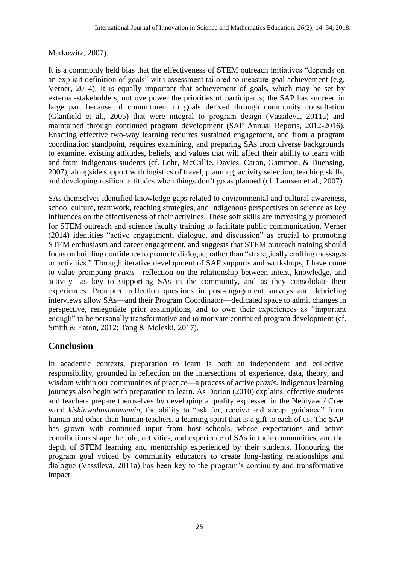#### Markowitz, 2007).

It is a commonly held bias that the effectiveness of STEM outreach initiatives "depends on an explicit definition of goals" with assessment tailored to measure goal achievement (e.g. Verner, 2014). It is equally important that achievement of goals, which may be set by external-stakeholders, not overpower the priorities of participants; the SAP has succeed in large part because of commitment to goals derived through community consultation (Glanfield et al., 2005) that were integral to program design (Vassileva, 2011a) and maintained through continued program development (SAP Annual Reports, 2012-2016). Enacting effective two-way learning requires sustained engagement, and from a program coordination standpoint, requires examining, and preparing SAs from diverse backgrounds to examine, existing attitudes, beliefs, and values that will affect their ability to learn with and from Indigenous students (cf. Lehr, McCallie, Davies, Caron, Gammon, & Duensing, 2007); alongside support with logistics of travel, planning, activity selection, teaching skills, and developing resilient attitudes when things don't go as planned (cf. Laursen et al., 2007).

SAs themselves identified knowledge gaps related to environmental and cultural awareness, school culture, teamwork, teaching strategies, and Indigenous perspectives on science as key influences on the effectiveness of their activities. These soft skills are increasingly promoted for STEM outreach and science faculty training to facilitate public communication. Verner (2014) identifies "active engagement, dialogue, and discussion" as crucial to promoting STEM enthusiasm and career engagement, and suggests that STEM outreach training should focus on building confidence to promote dialogue, rather than "strategically crafting messages or activities." Through iterative development of SAP supports and workshops, I have come to value prompting *praxis*—reflection on the relationship between intent, knowledge, and activity—as key to supporting SAs in the community, and as they consolidate their experiences. Prompted reflection questions in post-engagement surveys and debriefing interviews allow SAs—and their Program Coordinator—dedicated space to admit changes in perspective, renegotiate prior assumptions, and to own their experiences as "important enough" to be personally transformative and to motivate continued program development (cf. Smith & Eaton, 2012; Tang & Moleski, 2017).

# **Conclusion**

In academic contexts, preparation to learn is both an independent and collective responsibility, grounded in reflection on the intersections of experience, data, theory, and wisdom within our communities of practice—a process of active *praxis*. Indigenous learning journeys also begin with preparation to learn. As Dorion (2010) explains, effective students and teachers prepare themselves by developing a quality expressed in the Nehiyaw / Cree word *kiskinwahasimowewin,* the ability to "ask for, receive and accept guidance" from human and other-than-human teachers, a learning spirit that is a gift to each of us. The SAP has grown with continued input from host schools, whose expectations and active contributions shape the role, activities, and experience of SAs in their communities, and the depth of STEM learning and mentorship experienced by their students. Honouring the program goal voiced by community educators to create long-lasting relationships and dialogue (Vassileva, 2011a) has been key to the program's continuity and transformative impact.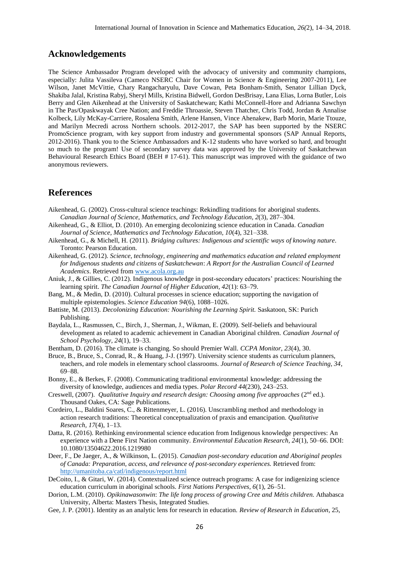#### **Acknowledgements**

The Science Ambassador Program developed with the advocacy of university and community champions, especially: Julita Vassileva (Cameco NSERC Chair for Women in Science & Engineering 2007-2011), Lee Wilson, Janet McVittie, Chary Rangacharyulu, Dave Cowan, Peta Bonham-Smith, Senator Lillian Dyck, Shakiba Jalal, Kristina Rabyj, Sheryl Mills, Kristina Bidwell, Gordon DesBrisay, Lana Elias, Lorna Butler, Lois Berry and Glen Aikenhead at the University of Saskatchewan; Kathi McConnell-Hore and Adrianna Sawchyn in The Pas/Opaskwayak Cree Nation; and Freddie Throassie, Steven Thatcher, Chris Todd, Jordan & Annalise Kolbeck, Lily McKay-Carriere, Rosalena Smith, Arlene Hansen, Vince Ahenakew, Barb Morin, Marie Ttouze, and Marilyn Mecredi across Northern schools. 2012-2017, the SAP has been supported by the NSERC PromoScience program, with key support from industry and governmental sponsors (SAP Annual Reports, 2012-2016). Thank you to the Science Ambassadors and K-12 students who have worked so hard, and brought so much to the program! Use of secondary survey data was approved by the University of Saskatchewan Behavioural Research Ethics Board (BEH # 17-61). This manuscript was improved with the guidance of two anonymous reviewers.

#### **References**

- Aikenhead, G. (2002). Cross-cultural science teachings: Rekindling traditions for aboriginal students. *Canadian Journal of Science, Mathematics, and Technology Education, 2*(3), 287–304.
- Aikenhead, G., & Elliot, D. (2010). An emerging decolonizing science education in Canada. *Canadian Journal of Science, Mathematics and Technology Education, 10*(4), 321–338.
- Aikenhead, G., & Michell, H. (2011). *Bridging cultures: Indigenous and scientific ways of knowing nature*. Toronto: Pearson Education.
- Aikenhead, G. (2012). *Science, technology, engineering and mathematics education and related employment for Indigenous students and citizens of Saskatchewan*: *A Report for the Australian Council of Learned Academics*. Retrieved fro[m www.acola.org.au](http://www.acola.org.au/)
- Aniuk, J., & Gillies, C. (2012). Indigenous knowledge in post-secondary educators' practices: Nourishing the learning spirit. *The Canadian Journal of Higher Education, 42*(1): 63–79.
- Bang, M., & Medin, D. (2010). Cultural processes in science education; supporting the navigation of multiple epistemologies. *Science Education 94*(6), 1088–1026.
- Battiste, M. (2013). *Decolonizing Education: Nourishing the Learning Spirit.* Saskatoon, SK: Purich Publishing.
- Baydala, L., Rasmussen, C., Birch, J., Sherman, J., Wikman, E. (2009). Self-beliefs and behavioural development as related to academic achievement in Canadian Aboriginal children. *Canadian Journal of School Psychology, 24*(1), 19–33.
- Bentham, D. (2016). The climate is changing. So should Premier Wall. *CCPA Monitor, 23*(4), 30.
- Bruce, B., Bruce, S., Conrad, R., & Huang, J-J. (1997). University science students as curriculum planners, teachers, and role models in elementary school classrooms. *Journal of Research of Science Teaching, 34*, 69–88.
- Bonny, E., & Berkes, F. (2008). Communicating traditional environmental knowledge: addressing the diversity of knowledge, audiences and media types. *Polar Record 44*(230), 243–253.
- Creswell, (2007). *Qualitative Inquiry and research design: Choosing among five approaches* (2<sup>nd</sup> ed.). Thousand Oakes, CA: Sage Publications.
- Cordeiro, L., Baldini Soares, C., & Rittenmeyer, L. (2016). Unscrambling method and methodology in action research traditions: Theoretical conceptualization of praxis and emancipation. *Qualitative Research, 17*(4), 1–13.
- Datta, R. (2016). Rethinking environmental science education from Indigenous knowledge perspectives: An experience with a Dene First Nation community*. Environmental Education Research, 24*(1), 50–66. DOI: 10.1080/13504622.2016.1219980
- Deer, F., De Jaeger, A., & Wilkinson, L. (2015). *Canadian post-secondary education and Aboriginal peoples of Canada: Preparation, access, and relevance of post-secondary experiences.* Retrieved from: <http://umanitoba.ca/catl/indigenous/report.html>
- DeCoito, I., & Gitari, W. (2014). Contextualized science outreach programs: A case for indigenizing science education curriculum in aboriginal schools. *First Nations Perspectives, 6*(1), 26–51.
- Dorion, L.M. (2010). *Opikinawasonwin*: *The life long process of growing Cree and Métis children.* Athabasca University, Alberta: Masters Thesis, Integrated Studies.
- Gee, J. P. (2001). Identity as an analytic lens for research in education. *Review of Research in Education*, 25,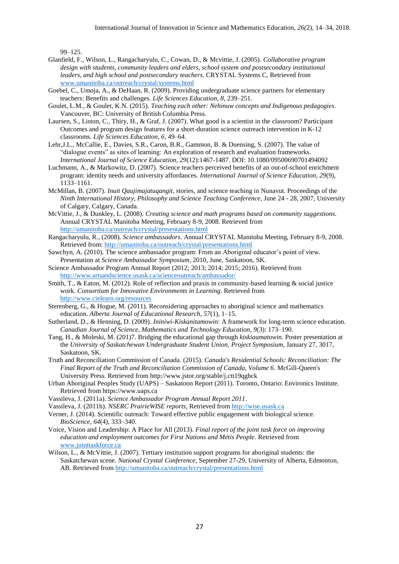99–125.

- Glanfield, F., Wilson, L., Rangacharyulu, C., Cowan, D., & Mcvittie, J. (2005). *Collaborative program design with students, community leaders and elders, school system and postsecondary institutional leaders, and high school and postsecondary teachers*. CRYSTAL Systems C, Retrieved from [www.umanitoba.ca/outreach/crystal/systems.html](http://www.umanitoba.ca/outreach/crystal/systems.html)
- Goebel, C., Umoja, A., & DeHaan, R. (2009). Providing undergraduate science partners for elementary teachers: Benefits and challenges. *Life Sciences Education, 8*, 239–251.
- Goulet, L.M., & Goulet, K.N. (2015). *Teaching each other: Nehinuw concepts and Indigenous pedagogies*. Vancouver, BC: University of British Columbia Press.
- Laursen, S., Liston, C., Thiry, H., & Graf, J. (2007). What good is a scientist in the classroom? Participant Outcomes and program design features for a short-duration science outreach intervention in K-12 classrooms. *Life Sciences Education, 6*, 49–64.
- Lehr,J.L., McCallie, E., Davies, S.R., Caron, B.R., Gammon, B. & Duensing, S. (2007). The value of "dialogue events" as sites of learning: An exploration of research and evaluation frameworks. *International Journal of Science Education, 29*(12):1467-1487. DOI: 10.1080/09500690701494092
- Luchmann, A., & Markowitz, D. (2007). Science teachers perceived benefits of an out-of-school enrichment program: identity needs and university affordances. *International Journal of Science Education, 29*(9), 1133–1161.
- McMillan, B. (2007). *Inuit Qaujimajatuqangit*, stories, and science teaching in Nunavut. Proceedings of the *Ninth International History, Philosophy and Science Teaching Conference*, June 24 - 28, 2007, University of Calgary, Calgary, Canada.
- McVittie, J., & Dunkley, L. (2008). *Creating science and math programs based on community suggestions*. Annual CRYSTAL Manitoba Meeting, February 8-9, 2008. Retrieved from <http://umanitoba.ca/outreach/crystal/presentations.html>
- Rangacharyulu, R., (2008). *Science ambassadors*. Annual CRYSTAL Manitoba Meeting, February 8-9, 2008. Retrieved from:<http://umanitoba.ca/outreach/crystal/presentations.html>
- Sawchyn, A. (2010). The science ambassador program: From an Aboriginal educator's point of view. Presentation at *Science Ambassador Symposium*, 2010, June, Saskatoon, SK.
- Science Ambassador Program Annual Report (2012; 2013; 2014; 2015; 2016). Retrieved from <http://www.artsandscience.usask.ca/scienceoutreach/ambassador/>
- Smith, T., & Eaton, M. (2012). Role of reflection and praxis in community-based learning & social justice work. *Consortium for Innovative Environments in Learning*. Retrieved from <http://www.cielearn.org/resources>
- Sterenberg, G., & Hogue, M. (2011). Reconsidering approaches to aboriginal science and mathematics education. *Alberta Journal of Educational Research*, *57*(1), 1–15.
- Sutherland, D., & Henning, D. (2009). *Ininiwi-Kiskanitamowin*: A framework for long-term science education. *Canadian Journal of Science, Mathematics and Technology Education, 9*(3): 173–190.
- Tang, H., & Moleski, M. (201)7. Bridging the educational gap through *kiskiaumatowin*. Poster presentation at the *University of Saskatchewan Undergraduate Student Union, Project Symposium*, January 27, 3017, Saskatoon, SK.
- Truth and Reconciliation Commission of Canada. (2015). *Canada's Residential Schools: Reconciliation: The Final Report of the Truth and Reconciliation Commission of Canada, Volume 6*. McGill-Queen's University Press. Retrieved from http://www.jstor.org/stable/j.ctt19qghck
- Urban Aboriginal Peoples Study (UAPS) Saskatoon Report (2011). Toronto, Ontario: Environics Institute. Retrieved from https://www.uaps.ca
- Vassileva, J. (2011a). *Science Ambassador Program Annual Report 2011*.
- Vassileva, J. (2011b). *NSERC PrairieWISE reports*, Retrieved from [http://wise.usask.ca](http://wise.usask.ca/)
- Verner, J. (2014). Scientific outreach: Toward effective public engagement with biological science. *BioScience, 64*(4), 333–340.
- Voice, Vision and Leadership: A Place for All (2013). *Final report of the joint task force on improving education and employment outcomes for First Nations and Métis People.* Retrieved from [www.jointtaskforce.ca](http://www.jointtaskforce.ca/)
- Wilson, L., & McVittie, J. (2007). Tertiary institution support programs for aboriginal students: the Saskatchewan scene. *National Crystal Conference*, September 27-29, University of Alberta, Edmonton, AB. Retrieved from <http://umanitoba.ca/outreach/crystal/presentations.html>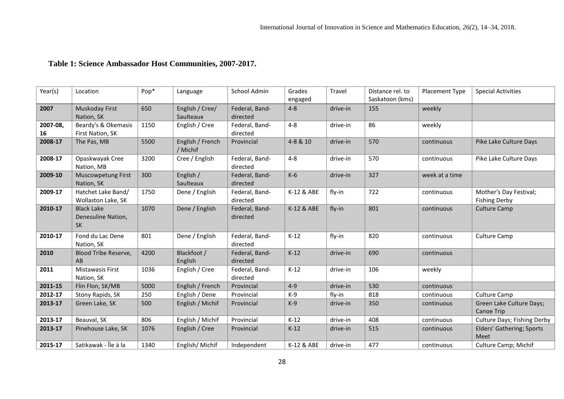| Year(s)        | Location                                             | Pop* | Language                     | School Admin               | Grades<br>engaged | Travel   | Distance rel. to<br>Saskatoon (kms) | Placement Type | <b>Special Activities</b>                      |
|----------------|------------------------------------------------------|------|------------------------------|----------------------------|-------------------|----------|-------------------------------------|----------------|------------------------------------------------|
| 2007           | Muskoday First<br>Nation, SK                         | 650  | English / Cree/<br>Saulteaux | Federal, Band-<br>directed | $4 - 8$           | drive-in | 155                                 | weekly         |                                                |
| 2007-08,<br>16 | Beardy's & Okemasis<br>First Nation, SK              | 1150 | English / Cree               | Federal, Band-<br>directed | $4 - 8$           | drive-in | 86                                  | weekly         |                                                |
| 2008-17        | The Pas, MB                                          | 5500 | English / French<br>/ Michif | Provincial                 | 4-8 & 10          | drive-in | 570                                 | continuous     | Pike Lake Culture Days                         |
| 2008-17        | Opaskwayak Cree<br>Nation, MB                        | 3200 | Cree / English               | Federal, Band-<br>directed | $4 - 8$           | drive-in | 570                                 | continuous     | Pike Lake Culture Days                         |
| 2009-10        | <b>Muscowpetung First</b><br>Nation, SK              | 300  | English /<br>Saulteaux       | Federal, Band-<br>directed | $K-6$             | drive-in | 327                                 | week at a time |                                                |
| 2009-17        | Hatchet Lake Band/<br>Wollaston Lake, SK             | 1750 | Dene / English               | Federal, Band-<br>directed | K-12 & ABE        | fly-in   | 722                                 | continuous     | Mother's Day Festival;<br><b>Fishing Derby</b> |
| 2010-17        | <b>Black Lake</b><br>Denesuline Nation,<br><b>SK</b> | 1070 | Dene / English               | Federal, Band-<br>directed | K-12 & ABE        | fly-in   | 801                                 | continuous     | <b>Culture Camp</b>                            |
| 2010-17        | Fond du Lac Dene<br>Nation, SK                       | 801  | Dene / English               | Federal, Band-<br>directed | $K-12$            | fly-in   | 820                                 | continuous     | <b>Culture Camp</b>                            |
| 2010           | Blood Tribe Reserve,<br>AB                           | 4200 | Blackfoot /<br>English       | Federal, Band-<br>directed | $K-12$            | drive-in | 690                                 | continuous     |                                                |
| 2011           | <b>Mistawasis First</b><br>Nation, SK                | 1036 | English / Cree               | Federal, Band-<br>directed | $K-12$            | drive-in | 106                                 | weekly         |                                                |
| 2011-15        | Flin Flon, SK/MB                                     | 5000 | English / French             | Provincial                 | $4 - 9$           | drive-in | 530                                 | continuous     |                                                |
| 2012-17        | Stony Rapids, SK                                     | 250  | English / Dene               | Provincial                 | $K-9$             | fly-in   | 818                                 | continuous     | Culture Camp                                   |
| 2013-17        | Green Lake, SK                                       | 500  | English / Michif             | Provincial                 | $K-9$             | drive-in | 350                                 | continuous     | Green Lake Culture Days;<br>Canoe Trip         |
| 2013-17        | Beauval, SK                                          | 806  | English / Michif             | Provincial                 | $K-12$            | drive-in | 408                                 | continuous     | Culture Days; Fishing Derby                    |
| 2013-17        | Pinehouse Lake, SK                                   | 1076 | English / Cree               | Provincial                 | $K-12$            | drive-in | 515                                 | continuous     | Elders' Gathering; Sports<br>Meet              |
| 2015-17        | Satikawak - Île à la                                 | 1340 | English/Michif               | Independent                | K-12 & ABE        | drive-in | 477                                 | continuous     | Culture Camp; Michif                           |

# **Table 1: Science Ambassador Host Communities, 2007-2017.**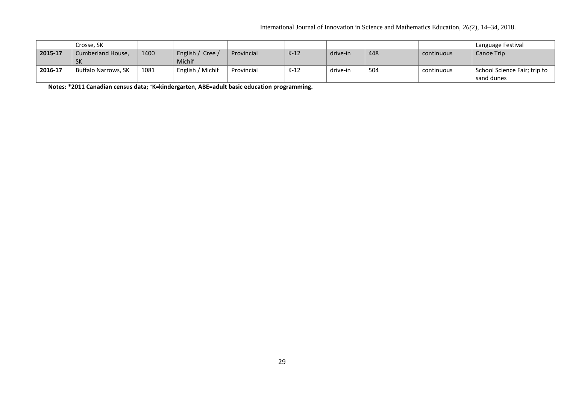|         | Crosse, SK          |      |                  |            |        |          |     |            | Language Festival            |
|---------|---------------------|------|------------------|------------|--------|----------|-----|------------|------------------------------|
| 2015-17 | Cumberland House,   | 1400 | English / Cree / | Provincial | $K-12$ | drive-in | 448 | continuous | Canoe Trip                   |
|         | <b>SK</b>           |      | <b>Michif</b>    |            |        |          |     |            |                              |
| 2016-17 | Buffalo Narrows, SK | 1081 | English / Michif | Provincial | $K-12$ | drive-in | 504 | continuous | School Science Fair; trip to |
|         |                     |      |                  |            |        |          |     |            | sand dunes                   |

**Notes: \*2011 Canadian census data; +K=kindergarten, ABE=adult basic education programming.**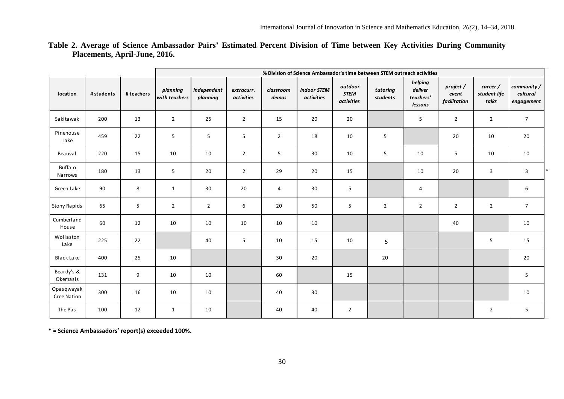|                           |            |                | % Division of Science Ambassador's time between STEM outreach activities |                         |                          |                    |                           |                                      |                      |                                            |                                    |                                   |                                      |
|---------------------------|------------|----------------|--------------------------------------------------------------------------|-------------------------|--------------------------|--------------------|---------------------------|--------------------------------------|----------------------|--------------------------------------------|------------------------------------|-----------------------------------|--------------------------------------|
| location                  | # students | # teachers     | planning<br>with teachers                                                | independent<br>planning | extracurr.<br>activities | classroom<br>demos | indoor STEM<br>activities | outdoor<br><b>STEM</b><br>activities | tutoring<br>students | helping<br>deliver<br>teachers'<br>lessons | project /<br>event<br>facilitation | career /<br>student life<br>talks | community/<br>cultural<br>engagement |
| Sakitawak                 | 200        | 13             | $\overline{2}$                                                           | 25                      | $\overline{2}$           | 15                 | 20                        | 20                                   |                      | 5                                          | $\overline{2}$                     | $\overline{2}$                    | $\overline{7}$                       |
| Pinehouse<br>Lake         | 459        | 22             | 5 <sub>1</sub>                                                           | 5                       | 5                        | $\overline{2}$     | 18                        | 10                                   | 5                    |                                            | 20                                 | 10                                | 20                                   |
| Beauval                   | 220        | 15             | 10                                                                       | 10                      | $\overline{2}$           | 5                  | 30                        | 10                                   | 5                    | 10                                         | 5                                  | 10                                | 10                                   |
| Buffalo<br>Narrows        | 180        | 13             | 5 <sub>1</sub>                                                           | 20                      | $\overline{2}$           | 29                 | 20                        | 15                                   |                      | 10                                         | 20                                 | 3                                 | 3                                    |
| Green Lake                | 90         | $\bf 8$        | $\mathbf{1}$                                                             | 30                      | 20                       | $\overline{4}$     | 30                        | 5                                    |                      | 4                                          |                                    |                                   | 6                                    |
| <b>Stony Rapids</b>       | 65         | 5 <sub>1</sub> | $\overline{2}$                                                           | $\overline{2}$          | 6                        | 20                 | 50                        | 5                                    | $\overline{2}$       | $\overline{2}$                             | $\overline{2}$                     | $\overline{2}$                    | $\overline{7}$                       |
| Cumberland<br>House       | 60         | 12             | 10                                                                       | 10                      | 10                       | 10                 | 10                        |                                      |                      |                                            | 40                                 |                                   | 10                                   |
| Wollaston<br>Lake         | 225        | 22             |                                                                          | 40                      | 5 <sup>1</sup>           | 10                 | 15                        | 10                                   | $5\phantom{.0}$      |                                            |                                    | 5                                 | 15                                   |
| Black Lake                | 400        | 25             | 10                                                                       |                         |                          | 30                 | 20                        |                                      | 20                   |                                            |                                    |                                   | 20                                   |
| Beardy's &<br>Okemasis    | 131        | 9              | 10                                                                       | 10                      |                          | 60                 |                           | 15                                   |                      |                                            |                                    |                                   | 5                                    |
| Opasqwayak<br>Cree Nation | 300        | 16             | 10                                                                       | 10                      |                          | 40                 | 30                        |                                      |                      |                                            |                                    |                                   | 10                                   |
| The Pas                   | 100        | 12             | $\mathbf{1}$                                                             | 10                      |                          | 40                 | 40                        | $\overline{2}$                       |                      |                                            |                                    | $\overline{2}$                    | 5                                    |
|                           |            |                |                                                                          |                         |                          |                    |                           |                                      |                      |                                            |                                    |                                   |                                      |

# **Table 2. Average of Science Ambassador Pairs' Estimated Percent Division of Time between Key Activities During Community Placements, April-June, 2016.**

**\* = Science Ambassadors' report(s) exceeded 100%.**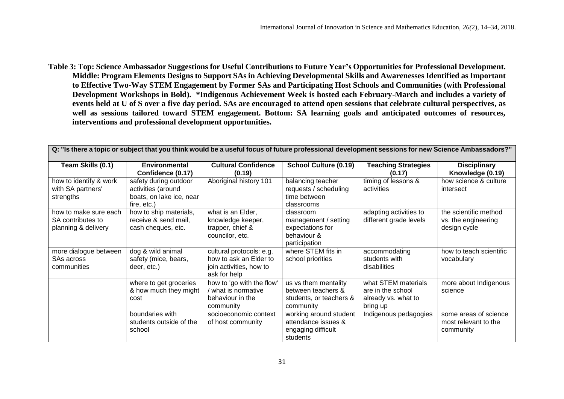**Table 3: Top: Science Ambassador Suggestions for Useful Contributions to Future Year's Opportunities for Professional Development. Middle: Program Elements Designs to Support SAs in Achieving Developmental Skills and Awarenesses Identified as Important to Effective Two-Way STEM Engagement by Former SAs and Participating Host Schools and Communities (with Professional Development Workshops in Bold). \*Indigenous Achievement Week is hosted each February-March and includes a variety of events held at U of S over a five day period. SAs are encouraged to attend open sessions that celebrate cultural perspectives, as well as sessions tailored toward STEM engagement. Bottom: SA learning goals and anticipated outcomes of resources, interventions and professional development opportunities.** 

| Q: "Is there a topic or subject that you think would be a useful focus of future professional development sessions for new Science Ambassadors?" |                                                                                        |                                                                                               |                                                                                       |                                                                             |                                                              |  |  |  |  |
|--------------------------------------------------------------------------------------------------------------------------------------------------|----------------------------------------------------------------------------------------|-----------------------------------------------------------------------------------------------|---------------------------------------------------------------------------------------|-----------------------------------------------------------------------------|--------------------------------------------------------------|--|--|--|--|
| Team Skills (0.1)                                                                                                                                | <b>Environmental</b><br>Confidence (0.17)                                              | <b>Cultural Confidence</b><br>(0.19)                                                          | <b>School Culture (0.19)</b>                                                          | <b>Teaching Strategies</b><br>(0.17)                                        | <b>Disciplinary</b><br>Knowledge (0.19)                      |  |  |  |  |
| how to identify & work<br>with SA partners'<br>strengths                                                                                         | safety during outdoor<br>activities (around<br>boats, on lake ice, near<br>fire, etc.) | Aboriginal history 101                                                                        | balancing teacher<br>requests / scheduling<br>time between<br>classrooms              | timing of lessons &<br>activities                                           | how science & culture<br>intersect                           |  |  |  |  |
| how to make sure each<br>SA contributes to<br>planning & delivery                                                                                | how to ship materials,<br>receive & send mail,<br>cash cheques, etc.                   | what is an Elder,<br>knowledge keeper,<br>trapper, chief &<br>councilor, etc.                 | classroom<br>management / setting<br>expectations for<br>behaviour &<br>participation | adapting activities to<br>different grade levels                            | the scientific method<br>vs. the engineering<br>design cycle |  |  |  |  |
| more dialogue between<br>SAs across<br>communities                                                                                               | dog & wild animal<br>safety (mice, bears,<br>deer, etc.)                               | cultural protocols: e.g.<br>how to ask an Elder to<br>join activities, how to<br>ask for help | where STEM fits in<br>school priorities                                               | accommodating<br>students with<br>disabilities                              | how to teach scientific<br>vocabulary                        |  |  |  |  |
|                                                                                                                                                  | where to get groceries<br>& how much they might<br>cost                                | how to 'go with the flow'<br>what is normative<br>behaviour in the<br>community               | us vs them mentality<br>between teachers &<br>students, or teachers &<br>community    | what STEM materials<br>are in the school<br>already vs. what to<br>bring up | more about Indigenous<br>science                             |  |  |  |  |
|                                                                                                                                                  | boundaries with<br>students outside of the<br>school                                   | socioeconomic context<br>of host community                                                    | working around student<br>attendance issues &<br>engaging difficult<br>students       | Indigenous pedagogies                                                       | some areas of science<br>most relevant to the<br>community   |  |  |  |  |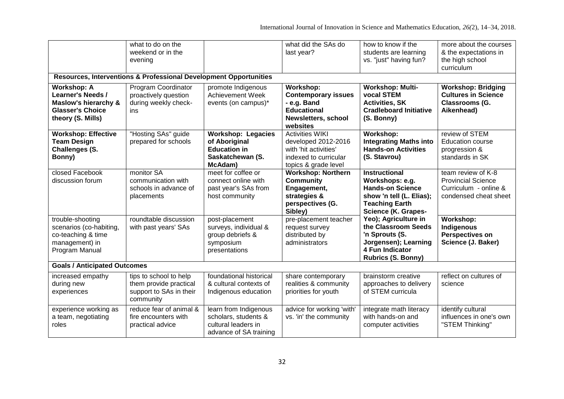|                                                                                                                                   | what to do on the<br>weekend or in the<br>evening<br>Resources, Interventions & Professional Development Opportunities |                                                                                                  | what did the SAs do<br>last year?                                                                                       | how to know if the<br>students are learning<br>vs. "just" having fun?                                                                                 | more about the courses<br>& the expectations in<br>the high school<br>curriculum                  |  |  |  |  |
|-----------------------------------------------------------------------------------------------------------------------------------|------------------------------------------------------------------------------------------------------------------------|--------------------------------------------------------------------------------------------------|-------------------------------------------------------------------------------------------------------------------------|-------------------------------------------------------------------------------------------------------------------------------------------------------|---------------------------------------------------------------------------------------------------|--|--|--|--|
| <b>Workshop: A</b><br><b>Learner's Needs /</b><br><b>Maslow's hierarchy &amp;</b><br><b>Glasser's Choice</b><br>theory (S. Mills) | Program Coordinator<br>proactively question<br>during weekly check-<br>ins                                             | promote Indigenous<br><b>Achievement Week</b><br>events (on campus)*                             | Workshop:<br><b>Contemporary issues</b><br>- e.g. Band<br><b>Educational</b><br>Newsletters, school<br>websites         | <b>Workshop: Multi-</b><br>vocal STEM<br><b>Activities, SK</b><br><b>Cradleboard Initiative</b><br>(S. Bonny)                                         | <b>Workshop: Bridging</b><br><b>Cultures in Science</b><br>Classrooms (G.<br>Aikenhead)           |  |  |  |  |
| <b>Workshop: Effective</b><br><b>Team Design</b><br>Challenges (S.<br>Bonny)                                                      | "Hosting SAs" guide<br>prepared for schools                                                                            | <b>Workshop: Legacies</b><br>of Aboriginal<br><b>Education in</b><br>Saskatchewan (S.<br>McAdam) | <b>Activities WIKI</b><br>developed 2012-2016<br>with 'hit activities'<br>indexed to curricular<br>topics & grade level | Workshop:<br><b>Integrating Maths into</b><br><b>Hands-on Activities</b><br>(S. Stavrou)                                                              | review of STEM<br><b>Education course</b><br>progression &<br>standards in SK                     |  |  |  |  |
| closed Facebook<br>discussion forum                                                                                               | monitor SA<br>communication with<br>schools in advance of<br>placements                                                | meet for coffee or<br>connect online with<br>past year's SAs from<br>host community              | <b>Workshop: Northern</b><br><b>Community</b><br>Engagement,<br>strategies &<br>perspectives (G.<br>Sibley)             | <b>Instructional</b><br>Workshops: e.g.<br><b>Hands-on Science</b><br>show 'n tell (L. Elias);<br><b>Teaching Earth</b><br><b>Science (K. Grapes-</b> | team review of K-8<br><b>Provincial Science</b><br>Curriculum - online &<br>condensed cheat sheet |  |  |  |  |
| trouble-shooting<br>scenarios (co-habiting,<br>co-teaching & time<br>management) in<br>Program Manual                             | roundtable discussion<br>with past years' SAs                                                                          | post-placement<br>surveys, individual &<br>group debriefs &<br>symposium<br>presentations        | pre-placement teacher<br>request survey<br>distributed by<br>administrators                                             | Yeo); Agriculture in<br>the Classroom Seeds<br>'n Sprouts (S.<br>Jorgensen); Learning<br>4 Fun Indicator<br><b>Rubrics (S. Bonny)</b>                 | Workshop:<br>Indigenous<br><b>Perspectives on</b><br>Science (J. Baker)                           |  |  |  |  |
| <b>Goals / Anticipated Outcomes</b>                                                                                               |                                                                                                                        |                                                                                                  |                                                                                                                         |                                                                                                                                                       |                                                                                                   |  |  |  |  |
| increased empathy<br>during new<br>experiences                                                                                    | tips to school to help<br>them provide practical<br>support to SAs in their<br>community                               | foundational historical<br>& cultural contexts of<br>Indigenous education                        | share contemporary<br>realities & community<br>priorities for youth                                                     | brainstorm creative<br>approaches to delivery<br>of STEM curricula                                                                                    | reflect on cultures of<br>science                                                                 |  |  |  |  |
| experience working as<br>a team, negotiating<br>roles                                                                             | reduce fear of animal &<br>fire encounters with<br>practical advice                                                    | learn from Indigenous<br>scholars, students &<br>cultural leaders in<br>advance of SA training   | advice for working 'with'<br>vs. 'in' the community                                                                     | integrate math literacy<br>with hands-on and<br>computer activities                                                                                   | identify cultural<br>influences in one's own<br>"STEM Thinking"                                   |  |  |  |  |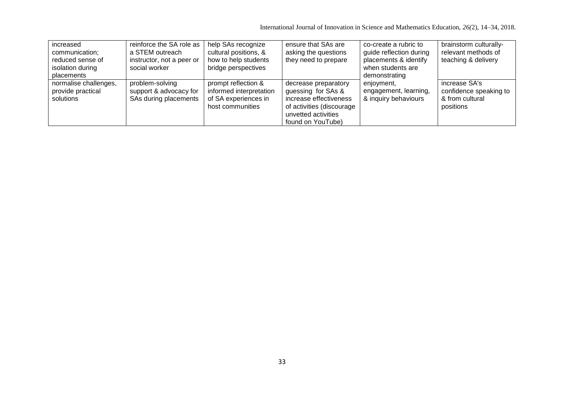International Journal of Innovation in Science and Mathematics Education, *26(*2), 14–34, 2018.

| increased<br>communication;<br>reduced sense of<br>isolation during<br>placements | reinforce the SA role as<br>a STEM outreach<br>instructor, not a peer or<br>social worker | help SAs recognize<br>cultural positions, &<br>how to help students<br>bridge perspectives | ensure that SAs are<br>asking the questions<br>they need to prepare                                                                           | co-create a rubric to<br>guide reflection during<br>placements & identify<br>when students are<br>demonstrating | brainstorm culturally-<br>relevant methods of<br>teaching & delivery    |
|-----------------------------------------------------------------------------------|-------------------------------------------------------------------------------------------|--------------------------------------------------------------------------------------------|-----------------------------------------------------------------------------------------------------------------------------------------------|-----------------------------------------------------------------------------------------------------------------|-------------------------------------------------------------------------|
| normalise challenges,<br>provide practical<br>solutions                           | problem-solving<br>support & advocacy for<br>SAs during placements                        | prompt reflection &<br>informed interpretation<br>of SA experiences in<br>host communities | decrease preparatory<br>guessing for SAs &<br>increase effectiveness<br>of activities (discourage<br>unvetted activities<br>found on YouTube) | enjoyment,<br>engagement, learning,<br>& inquiry behaviours                                                     | increase SA's<br>confidence speaking to<br>& from cultural<br>positions |